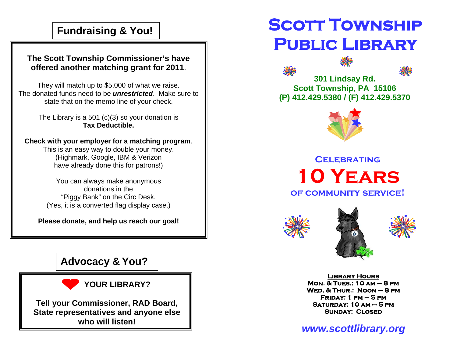## **Fundraising & You!**

### **The Scott Township Commissioner's have offered another matching grant for 2011**.

They will match up to \$5,000 of what we raise. The donated funds need to be *unrestricted*. Make sure to state that on the memo line of your check.

> The Library is a 501 (c)(3) so your donation is **Tax Deductible.**

### **Check with your employer for a matching program**.

This is an easy way to double your money. (Highmark, Google, IBM & Verizon have already done this for patrons!)

You can always make anonymous donations in the "Piggy Bank" on the Circ Desk. (Yes, it is a converted flag display case.)

**Please donate, and help us reach our goal!** 

### **Advocacy & You?**



**Tell your Commissioner, RAD Board, State representatives and anyone else who will listen!** 

# **SCOTT TOWNSHIP Public Library**





**301 Lindsay Rd. Scott Township, PA 15106 (P) 412.429.5380 / (F) 412.429.5370** 



**Celebrating10 Years of community service!** 





**Library Hours Mon. & Tues.: 10 am – 8 pm Wed. & Thur.: Noon – 8 pm Friday: 1 pm – 5 pm Saturday: 10 am – 5 pm Sunday: Closed** 

*www.scottlibrary.org*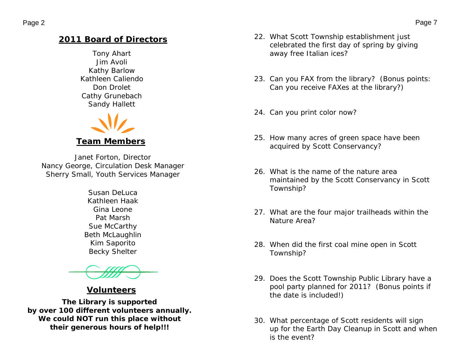### **2011 Board of Directors**

Tony Ahart Jim Avoli Kathy Barlow Kathleen Caliendo Don Drolet Cathy Grunebach Sandy Hallett



*Janet Forton, Director Nancy George, Circulation Desk Manager Sherry Small, Youth Services Manager* 

> *Susan DeLuca Kathleen Haak Gina Leone Pat Marsh Sue McCarthy Beth McLaughlin Kim Saporito Becky Shelter*

### **Volunteers**

*The Library is supported by over 100 different volunteers annually. We could NOT run this place without their generous hours of help!!!*

- 22. What Scott Township establishment just celebrated the first day of spring by giving away free Italian ices?
- 23. Can you FAX from the library? (Bonus points: Can you receive FAXes at the library?)
- 24. Can you print color now?
- 25. How many acres of green space have been acquired by Scott Conservancy?
- 26. What is the name of the nature area maintained by the Scott Conservancy in Scott Township?
- 27. What are the four major trailheads within the Nature Area?
- 28. When did the first coal mine open in Scott Township?
- 29. Does the Scott Township Public Library have a pool party planned for 2011? (Bonus points if the date is included!)
- 30. What percentage of Scott residents will sign up for the Earth Day Cleanup in Scott and when is the event?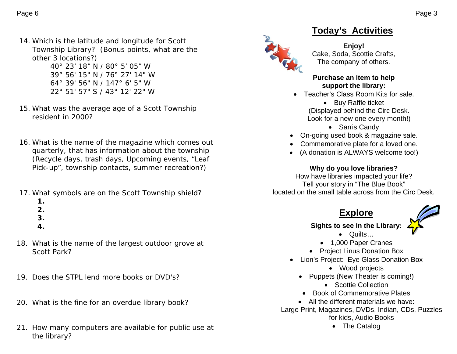14. Which is the latitude and longitude for Scott Township Library? (Bonus points, what are the other 3 locations?) 40° 23' 18" N / 80° 5' 05" W

39° 56' 15" N / 76° 27' 14" W 64° 39' 56" N / 147° 6' 5" W 22° 51' 57" S / 43° 12' 22" W

- 15. What was the average age of a Scott Township resident in 2000?
- 16. What is the name of the magazine which comes out quarterly, that has information about the township (Recycle days, trash days, Upcoming events, "Leaf Pick-up", township contacts, summer recreation?)
- 17. What symbols are on the Scott Township shield?
	- **1.**
	- **2.**
	- **3.**
	- **4.**
- 18. What is the name of the largest outdoor grove at Scott Park?
- 19. Does the STPL lend more books or DVD's?
- 20. What is the fine for an overdue library book?
- 21. How many computers are available for public use at the library?

# **Today's Activities**

#### **Enjoy!**  Cake, Soda, Scottie Crafts, The company of others.

#### **Purchase an item to help support the library:**

- Teacher's Class Room Kits for sale.
	- Buy Raffle ticket (Displayed behind the Circ Desk. Look for a new one every month!)
		- Sarris Candy
- On-going used book & magazine sale.
- Commemorative plate for a loved one.
- (A donation is ALWAYS welcome too!)

### **Why do you love libraries?**

How have libraries impacted your life? Tell your story in "The Blue Book" located on the small table across from the Circ Desk.

### **Explore**

### **Sights to see in the Library:**

- Quilts…
- 1,000 Paper Cranes
- Project Linus Donation Box
- Lion's Project: Eye Glass Donation Box
	- Wood projects
	- Puppets (New Theater is coming!)
		- Scottie Collection
	- Book of Commemorative Plates
	- All the different materials we have:
- Large Print, Magazines, DVDs, Indian, CDs, Puzzles for kids, Audio Books
	- The Catalog